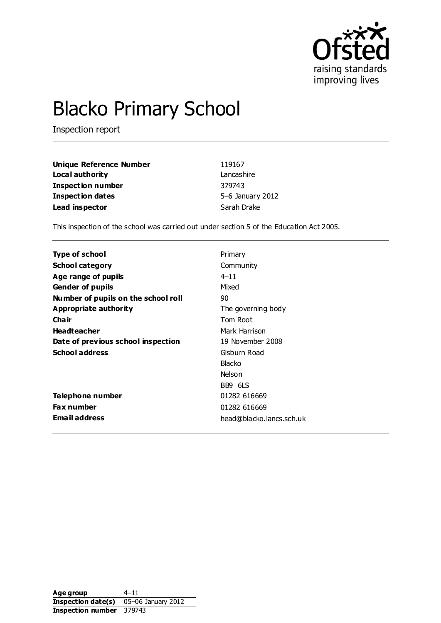

# Blacko Primary School

Inspection report

| Unique Reference Number  | 119167           |
|--------------------------|------------------|
| Local authority          | Lancashire       |
| <b>Inspection number</b> | 379743           |
| <b>Inspection dates</b>  | 5-6 January 2012 |
| Lead inspector           | Sarah Drake      |

This inspection of the school was carried out under section 5 of the Education Act 2005.

| Type of school                      | Primary                  |
|-------------------------------------|--------------------------|
| <b>School category</b>              | Community                |
| Age range of pupils                 | $4 - 11$                 |
| <b>Gender of pupils</b>             | Mixed                    |
| Number of pupils on the school roll | 90                       |
| Appropriate authority               | The governing body       |
| Cha ir                              | Tom Root                 |
| <b>Headteacher</b>                  | Mark Harrison            |
| Date of previous school inspection  | 19 November 2008         |
| <b>School address</b>               | Gisburn Road             |
|                                     | Blacko                   |
|                                     | Nelson                   |
|                                     | BB9 6LS                  |
| Telephone number                    | 01282 616669             |
| <b>Fax number</b>                   | 01282 616669             |
| <b>Email address</b>                | head@blacko.lancs.sch.uk |

Age group 4–11 **Inspection date(s)** 05–06 January 2012 **Inspection number** 379743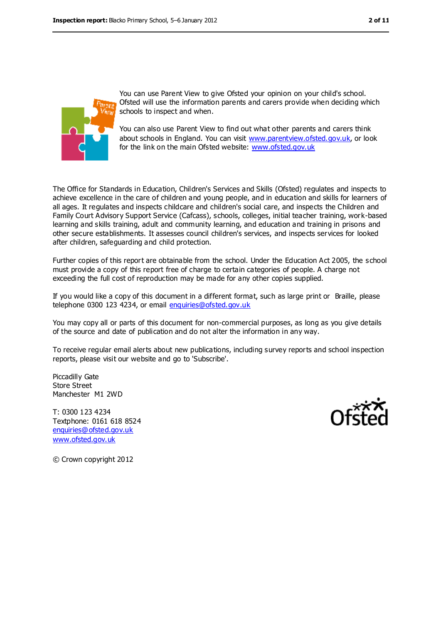

You can use Parent View to give Ofsted your opinion on your child's school. Ofsted will use the information parents and carers provide when deciding which schools to inspect and when.

You can also use Parent View to find out what other parents and carers think about schools in England. You can visit [www.parentview.ofsted.gov.uk,](../../../AppData/Local/Microsoft/Windows/Temporary%20Internet%20Files/Local%20Settings/Temporary%20Internet%20Files/Local%20Settings/Temporary%20Internet%20Files/Content.IE5/J2BWAYMR/www.parentview.ofsted.gov.uk) or look for the link on the main Ofsted website: [www.ofsted.gov.uk](../../../AppData/Local/Microsoft/Windows/Temporary%20Internet%20Files/Local%20Settings/Temporary%20Internet%20Files/Local%20Settings/Temporary%20Internet%20Files/Content.IE5/J2BWAYMR/www.ofsted.gov.uk)

The Office for Standards in Education, Children's Services and Skills (Ofsted) regulates and inspects to achieve excellence in the care of children and young people, and in education and skills for learners of all ages. It regulates and inspects childcare and children's social care, and inspects the Children and Family Court Advisory Support Service (Cafcass), schools, colleges, initial teacher training, work-based learning and skills training, adult and community learning, and education and training in prisons and other secure establishments. It assesses council children's services, and inspects services for looked after children, safeguarding and child protection.

Further copies of this report are obtainable from the school. Under the Education Act 2005, the school must provide a copy of this report free of charge to certain categories of people. A charge not exceeding the full cost of reproduction may be made for any other copies supplied.

If you would like a copy of this document in a different format, such as large print or Braille, please telephone 0300 123 4234, or email [enquiries@ofsted.gov.uk](mailto:enquiries@ofsted.gov.uk)

You may copy all or parts of this document for non-commercial purposes, as long as you give details of the source and date of publication and do not alter the information in any way.

To receive regular email alerts about new publications, including survey reports and school inspection reports, please visit our website and go to 'Subscribe'.

Piccadilly Gate Store Street Manchester M1 2WD

T: 0300 123 4234 Textphone: 0161 618 8524 [enquiries@ofsted.gov.uk](mailto:enquiries@ofsted.gov.uk) [www.ofsted.gov.uk](http://www.ofsted.gov.uk/)



© Crown copyright 2012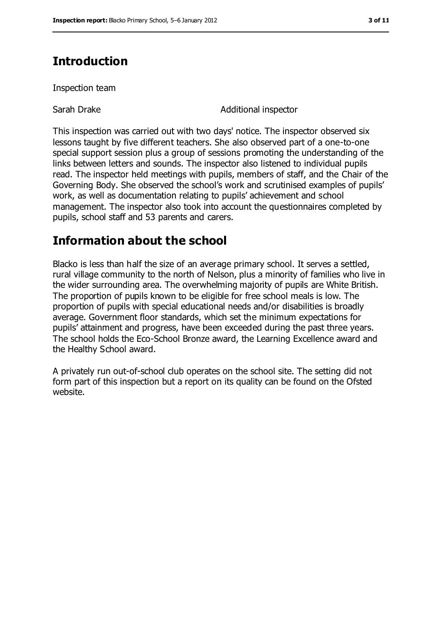# **Introduction**

Inspection team

Sarah Drake Additional inspector

This inspection was carried out with two days' notice. The inspector observed six lessons taught by five different teachers. She also observed part of a one-to-one special support session plus a group of sessions promoting the understanding of the links between letters and sounds. The inspector also listened to individual pupils read. The inspector held meetings with pupils, members of staff, and the Chair of the Governing Body. She observed the school's work and scrutinised examples of pupils' work, as well as documentation relating to pupils' achievement and school management. The inspector also took into account the questionnaires completed by pupils, school staff and 53 parents and carers.

# **Information about the school**

Blacko is less than half the size of an average primary school. It serves a settled, rural village community to the north of Nelson, plus a minority of families who live in the wider surrounding area. The overwhelming majority of pupils are White British. The proportion of pupils known to be eligible for free school meals is low. The proportion of pupils with special educational needs and/or disabilities is broadly average. Government floor standards, which set the minimum expectations for pupils' attainment and progress, have been exceeded during the past three years. The school holds the Eco-School Bronze award, the Learning Excellence award and the Healthy School award.

A privately run out-of-school club operates on the school site. The setting did not form part of this inspection but a report on its quality can be found on the Ofsted website.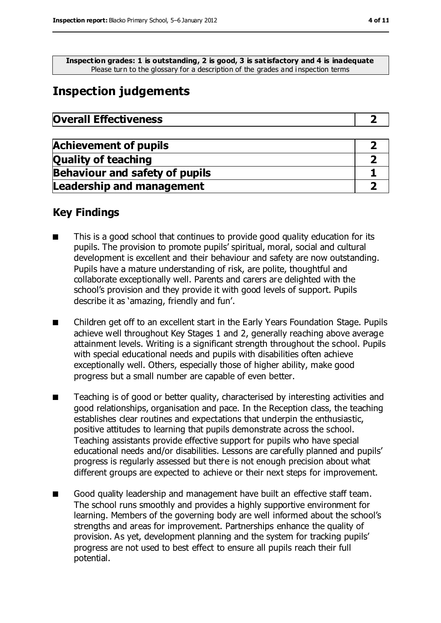**Inspection grades: 1 is outstanding, 2 is good, 3 is satisfactory and 4 is inadequate** Please turn to the glossary for a description of the grades and i nspection terms

# **Inspection judgements**

| <b>Overall Effectiveness</b> |  |
|------------------------------|--|
|------------------------------|--|

| <b>Achievement of pupils</b>          |  |
|---------------------------------------|--|
| <b>Quality of teaching</b>            |  |
| <b>Behaviour and safety of pupils</b> |  |
| <b>Leadership and management</b>      |  |

### **Key Findings**

- This is a good school that continues to provide good quality education for its pupils. The provision to promote pupils' spiritual, moral, social and cultural development is excellent and their behaviour and safety are now outstanding. Pupils have a mature understanding of risk, are polite, thoughtful and collaborate exceptionally well. Parents and carers are delighted with the school's provision and they provide it with good levels of support. Pupils describe it as 'amazing, friendly and fun'.
- Children get off to an excellent start in the Early Years Foundation Stage. Pupils achieve well throughout Key Stages 1 and 2, generally reaching above average attainment levels. Writing is a significant strength throughout the school. Pupils with special educational needs and pupils with disabilities often achieve exceptionally well. Others, especially those of higher ability, make good progress but a small number are capable of even better.
- Teaching is of good or better quality, characterised by interesting activities and good relationships, organisation and pace. In the Reception class, the teaching establishes clear routines and expectations that underpin the enthusiastic, positive attitudes to learning that pupils demonstrate across the school. Teaching assistants provide effective support for pupils who have special educational needs and/or disabilities. Lessons are carefully planned and pupils' progress is regularly assessed but there is not enough precision about what different groups are expected to achieve or their next steps for improvement.
- Good quality leadership and management have built an effective staff team. The school runs smoothly and provides a highly supportive environment for learning. Members of the governing body are well informed about the school's strengths and areas for improvement. Partnerships enhance the quality of provision. As yet, development planning and the system for tracking pupils' progress are not used to best effect to ensure all pupils reach their full potential.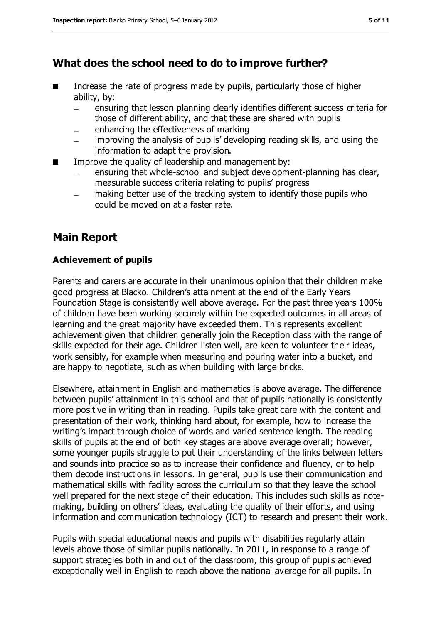### **What does the school need to do to improve further?**

- Increase the rate of progress made by pupils, particularly those of higher ability, by:
	- ensuring that lesson planning clearly identifies different success criteria for those of different ability, and that these are shared with pupils
	- enhancing the effectiveness of marking
	- improving the analysis of pupils' developing reading skills, and using the information to adapt the provision.
- Improve the quality of leadership and management by:
	- ensuring that whole-school and subject development-planning has clear, measurable success criteria relating to pupils' progress
	- making better use of the tracking system to identify those pupils who could be moved on at a faster rate.

### **Main Report**

#### **Achievement of pupils**

Parents and carers are accurate in their unanimous opinion that their children make good progress at Blacko. Children's attainment at the end of the Early Years Foundation Stage is consistently well above average. For the past three years 100% of children have been working securely within the expected outcomes in all areas of learning and the great majority have exceeded them. This represents excellent achievement given that children generally join the Reception class with the range of skills expected for their age. Children listen well, are keen to volunteer their ideas, work sensibly, for example when measuring and pouring water into a bucket, and are happy to negotiate, such as when building with large bricks.

Elsewhere, attainment in English and mathematics is above average. The difference between pupils' attainment in this school and that of pupils nationally is consistently more positive in writing than in reading. Pupils take great care with the content and presentation of their work, thinking hard about, for example, how to increase the writing's impact through choice of words and varied sentence length. The reading skills of pupils at the end of both key stages are above average overall; however, some younger pupils struggle to put their understanding of the links between letters and sounds into practice so as to increase their confidence and fluency, or to help them decode instructions in lessons. In general, pupils use their communication and mathematical skills with facility across the curriculum so that they leave the school well prepared for the next stage of their education. This includes such skills as notemaking, building on others' ideas, evaluating the quality of their efforts, and using information and communication technology (ICT) to research and present their work.

Pupils with special educational needs and pupils with disabilities regularly attain levels above those of similar pupils nationally. In 2011, in response to a range of support strategies both in and out of the classroom, this group of pupils achieved exceptionally well in English to reach above the national average for all pupils. In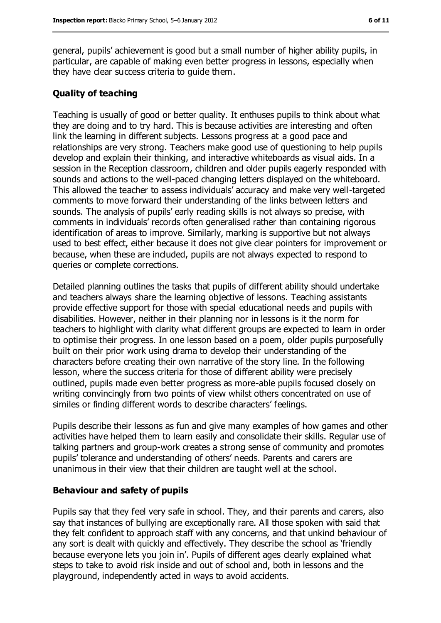general, pupils' achievement is good but a small number of higher ability pupils, in particular, are capable of making even better progress in lessons, especially when they have clear success criteria to guide them.

#### **Quality of teaching**

Teaching is usually of good or better quality. It enthuses pupils to think about what they are doing and to try hard. This is because activities are interesting and often link the learning in different subjects. Lessons progress at a good pace and relationships are very strong. Teachers make good use of questioning to help pupils develop and explain their thinking, and interactive whiteboards as visual aids. In a session in the Reception classroom, children and older pupils eagerly responded with sounds and actions to the well-paced changing letters displayed on the whiteboard. This allowed the teacher to assess individuals' accuracy and make very well-targeted comments to move forward their understanding of the links between letters and sounds. The analysis of pupils' early reading skills is not always so precise, with comments in individuals' records often generalised rather than containing rigorous identification of areas to improve. Similarly, marking is supportive but not always used to best effect, either because it does not give clear pointers for improvement or because, when these are included, pupils are not always expected to respond to queries or complete corrections.

Detailed planning outlines the tasks that pupils of different ability should undertake and teachers always share the learning objective of lessons. Teaching assistants provide effective support for those with special educational needs and pupils with disabilities. However, neither in their planning nor in lessons is it the norm for teachers to highlight with clarity what different groups are expected to learn in order to optimise their progress. In one lesson based on a poem, older pupils purposefully built on their prior work using drama to develop their understanding of the characters before creating their own narrative of the story line. In the following lesson, where the success criteria for those of different ability were precisely outlined, pupils made even better progress as more-able pupils focused closely on writing convincingly from two points of view whilst others concentrated on use of similes or finding different words to describe characters' feelings.

Pupils describe their lessons as fun and give many examples of how games and other activities have helped them to learn easily and consolidate their skills. Regular use of talking partners and group-work creates a strong sense of community and promotes pupils' tolerance and understanding of others' needs. Parents and carers are unanimous in their view that their children are taught well at the school.

#### **Behaviour and safety of pupils**

Pupils say that they feel very safe in school. They, and their parents and carers, also say that instances of bullying are exceptionally rare. All those spoken with said that they felt confident to approach staff with any concerns, and that unkind behaviour of any sort is dealt with quickly and effectively. They describe the school as 'friendly because everyone lets you join in'. Pupils of different ages clearly explained what steps to take to avoid risk inside and out of school and, both in lessons and the playground, independently acted in ways to avoid accidents.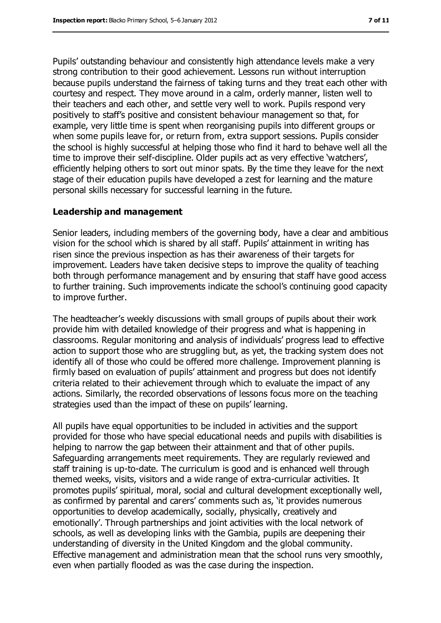Pupils' outstanding behaviour and consistently high attendance levels make a very strong contribution to their good achievement. Lessons run without interruption because pupils understand the fairness of taking turns and they treat each other with courtesy and respect. They move around in a calm, orderly manner, listen well to their teachers and each other, and settle very well to work. Pupils respond very positively to staff's positive and consistent behaviour management so that, for example, very little time is spent when reorganising pupils into different groups or when some pupils leave for, or return from, extra support sessions. Pupils consider the school is highly successful at helping those who find it hard to behave well all the time to improve their self-discipline. Older pupils act as very effective 'watchers', efficiently helping others to sort out minor spats. By the time they leave for the next stage of their education pupils have developed a zest for learning and the mature personal skills necessary for successful learning in the future.

#### **Leadership and management**

Senior leaders, including members of the governing body, have a clear and ambitious vision for the school which is shared by all staff. Pupils' attainment in writing has risen since the previous inspection as has their awareness of their targets for improvement. Leaders have taken decisive steps to improve the quality of teaching both through performance management and by ensuring that staff have good access to further training. Such improvements indicate the school's continuing good capacity to improve further.

The headteacher's weekly discussions with small groups of pupils about their work provide him with detailed knowledge of their progress and what is happening in classrooms. Regular monitoring and analysis of individuals' progress lead to effective action to support those who are struggling but, as yet, the tracking system does not identify all of those who could be offered more challenge. Improvement planning is firmly based on evaluation of pupils' attainment and progress but does not identify criteria related to their achievement through which to evaluate the impact of any actions. Similarly, the recorded observations of lessons focus more on the teaching strategies used than the impact of these on pupils' learning.

All pupils have equal opportunities to be included in activities and the support provided for those who have special educational needs and pupils with disabilities is helping to narrow the gap between their attainment and that of other pupils. Safeguarding arrangements meet requirements. They are regularly reviewed and staff training is up-to-date. The curriculum is good and is enhanced well through themed weeks, visits, visitors and a wide range of extra-curricular activities. It promotes pupils' spiritual, moral, social and cultural development exceptionally well, as confirmed by parental and carers' comments such as, 'it provides numerous opportunities to develop academically, socially, physically, creatively and emotionally'. Through partnerships and joint activities with the local network of schools, as well as developing links with the Gambia, pupils are deepening their understanding of diversity in the United Kingdom and the global community. Effective management and administration mean that the school runs very smoothly, even when partially flooded as was the case during the inspection.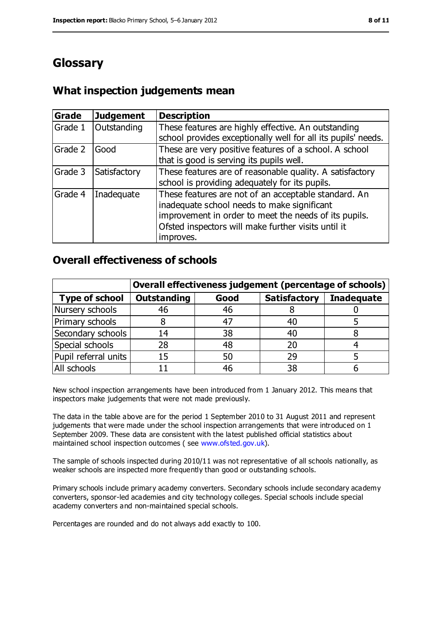# **Glossary**

### **What inspection judgements mean**

| Grade   | <b>Judgement</b> | <b>Description</b>                                                                                                                                                                                                               |
|---------|------------------|----------------------------------------------------------------------------------------------------------------------------------------------------------------------------------------------------------------------------------|
| Grade 1 | Outstanding      | These features are highly effective. An outstanding<br>school provides exceptionally well for all its pupils' needs.                                                                                                             |
| Grade 2 | Good             | These are very positive features of a school. A school<br>that is good is serving its pupils well.                                                                                                                               |
| Grade 3 | Satisfactory     | These features are of reasonable quality. A satisfactory<br>school is providing adequately for its pupils.                                                                                                                       |
| Grade 4 | Inadequate       | These features are not of an acceptable standard. An<br>inadequate school needs to make significant<br>improvement in order to meet the needs of its pupils.<br>Ofsted inspectors will make further visits until it<br>improves. |

### **Overall effectiveness of schools**

|                       | Overall effectiveness judgement (percentage of schools) |      |                     |                   |
|-----------------------|---------------------------------------------------------|------|---------------------|-------------------|
| <b>Type of school</b> | <b>Outstanding</b>                                      | Good | <b>Satisfactory</b> | <b>Inadequate</b> |
| Nursery schools       | 46                                                      | 46   |                     |                   |
| Primary schools       | 8                                                       | 47   |                     |                   |
| Secondary schools     | 14                                                      | 38   | 40                  |                   |
| Special schools       | 28                                                      | 48   | 20                  |                   |
| Pupil referral units  | 15                                                      | 50   | 29                  |                   |
| All schools           |                                                         | 46   | 38                  |                   |

New school inspection arrangements have been introduced from 1 January 2012. This means that inspectors make judgements that were not made previously.

The data in the table above are for the period 1 September 2010 to 31 August 2011 and represent judgements that were made under the school inspection arrangements that were introduced on 1 September 2009. These data are consistent with the latest published official statistics about maintained school inspection outcomes ( see [www.ofsted.gov.uk\)](../../../AppData/Local/Microsoft/Windows/Temporary%20Internet%20Files/Local%20Settings/Temporary%20Internet%20Files/Local%20Settings/Temporary%20Internet%20Files/Content.IE5/J2BWAYMR/www.ofsted.gov.uk).

The sample of schools inspected during 2010/11 was not representative of all schools nationally, as weaker schools are inspected more frequently than good or outstanding schools.

Primary schools include primary academy converters. Secondary schools include secondary academy converters, sponsor-led academies and city technology colleges. Special schools include special academy converters and non-maintained special schools.

Percentages are rounded and do not always add exactly to 100.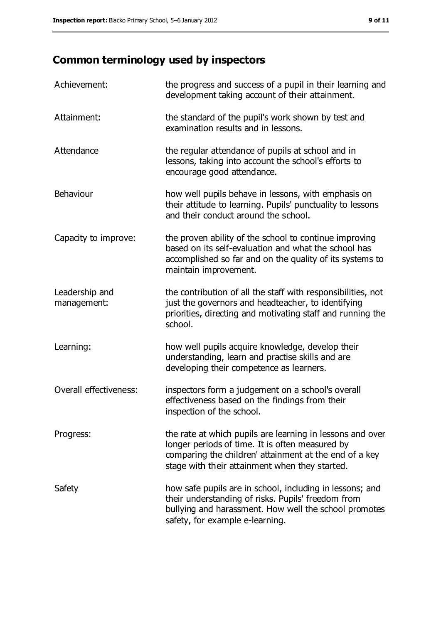# **Common terminology used by inspectors**

| Achievement:                  | the progress and success of a pupil in their learning and<br>development taking account of their attainment.                                                                                                             |
|-------------------------------|--------------------------------------------------------------------------------------------------------------------------------------------------------------------------------------------------------------------------|
| Attainment:                   | the standard of the pupil's work shown by test and<br>examination results and in lessons.                                                                                                                                |
| Attendance                    | the regular attendance of pupils at school and in<br>lessons, taking into account the school's efforts to<br>encourage good attendance.                                                                                  |
| Behaviour                     | how well pupils behave in lessons, with emphasis on<br>their attitude to learning. Pupils' punctuality to lessons<br>and their conduct around the school.                                                                |
| Capacity to improve:          | the proven ability of the school to continue improving<br>based on its self-evaluation and what the school has<br>accomplished so far and on the quality of its systems to<br>maintain improvement.                      |
| Leadership and<br>management: | the contribution of all the staff with responsibilities, not<br>just the governors and headteacher, to identifying<br>priorities, directing and motivating staff and running the<br>school.                              |
| Learning:                     | how well pupils acquire knowledge, develop their<br>understanding, learn and practise skills and are<br>developing their competence as learners.                                                                         |
| Overall effectiveness:        | inspectors form a judgement on a school's overall<br>effectiveness based on the findings from their<br>inspection of the school.                                                                                         |
| Progress:                     | the rate at which pupils are learning in lessons and over<br>longer periods of time. It is often measured by<br>comparing the children' attainment at the end of a key<br>stage with their attainment when they started. |
| Safety                        | how safe pupils are in school, including in lessons; and<br>their understanding of risks. Pupils' freedom from<br>bullying and harassment. How well the school promotes<br>safety, for example e-learning.               |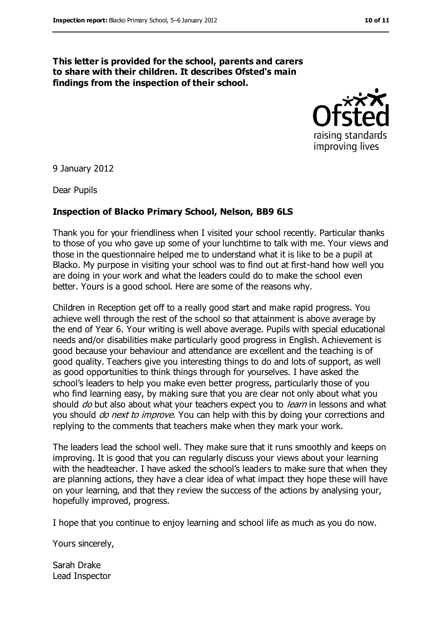#### **This letter is provided for the school, parents and carers to share with their children. It describes Ofsted's main findings from the inspection of their school.**



9 January 2012

Dear Pupils

#### **Inspection of Blacko Primary School, Nelson, BB9 6LS**

Thank you for your friendliness when I visited your school recently. Particular thanks to those of you who gave up some of your lunchtime to talk with me. Your views and those in the questionnaire helped me to understand what it is like to be a pupil at Blacko. My purpose in visiting your school was to find out at first-hand how well you are doing in your work and what the leaders could do to make the school even better. Yours is a good school. Here are some of the reasons why.

Children in Reception get off to a really good start and make rapid progress. You achieve well through the rest of the school so that attainment is above average by the end of Year 6. Your writing is well above average. Pupils with special educational needs and/or disabilities make particularly good progress in English. Achievement is good because your behaviour and attendance are excellent and the teaching is of good quality. Teachers give you interesting things to do and lots of support, as well as good opportunities to think things through for yourselves. I have asked the school's leaders to help you make even better progress, particularly those of you who find learning easy, by making sure that you are clear not only about what you should *do* but also about what your teachers expect you to *learn* in lessons and what you should *do next to improve*. You can help with this by doing your corrections and replying to the comments that teachers make when they mark your work.

The leaders lead the school well. They make sure that it runs smoothly and keeps on improving. It is good that you can regularly discuss your views about your learning with the headteacher. I have asked the school's leaders to make sure that when they are planning actions, they have a clear idea of what impact they hope these will have on your learning, and that they review the success of the actions by analysing your, hopefully improved, progress.

I hope that you continue to enjoy learning and school life as much as you do now.

Yours sincerely,

Sarah Drake Lead Inspector